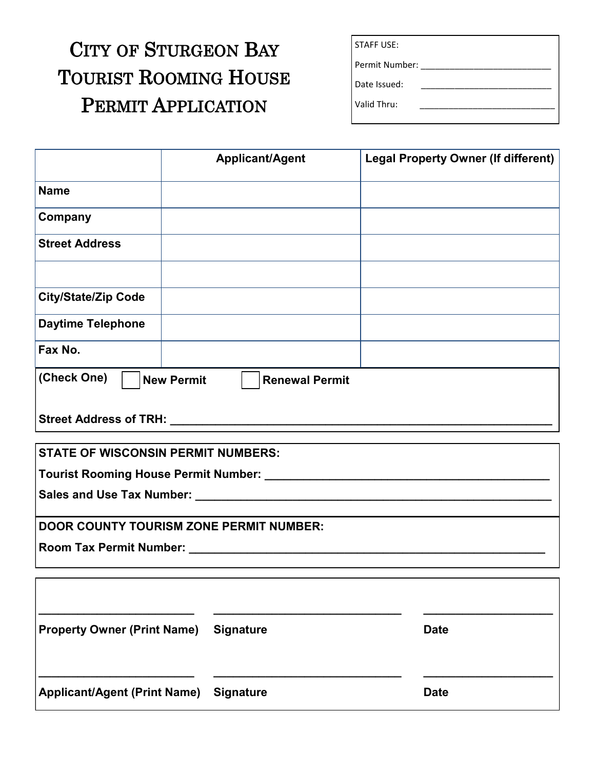## CITY OF STURGEON BAY TOURIST ROOMING HOUSE PERMIT APPLICATION

Valid Thru:

|                                                                                                                       | <b>Applicant/Agent</b> | <b>Legal Property Owner (If different)</b> |
|-----------------------------------------------------------------------------------------------------------------------|------------------------|--------------------------------------------|
| <b>Name</b>                                                                                                           |                        |                                            |
| Company                                                                                                               |                        |                                            |
| <b>Street Address</b>                                                                                                 |                        |                                            |
| <b>City/State/Zip Code</b>                                                                                            |                        |                                            |
| <b>Daytime Telephone</b>                                                                                              |                        |                                            |
| Fax No.                                                                                                               |                        |                                            |
| (Check One)<br><b>New Permit</b>                                                                                      | <b>Renewal Permit</b>  |                                            |
|                                                                                                                       |                        |                                            |
| <b>STATE OF WISCONSIN PERMIT NUMBERS:</b>                                                                             |                        |                                            |
|                                                                                                                       |                        |                                            |
|                                                                                                                       |                        |                                            |
| <b>DOOR COUNTY TOURISM ZONE PERMIT NUMBER:</b>                                                                        |                        |                                            |
| <b>Room Tax Permit Number:</b> Nooney All Allen Andrew Management Allen Andrew Management Allen Andrew Management All |                        |                                            |
|                                                                                                                       |                        |                                            |
|                                                                                                                       |                        |                                            |
| <b>Property Owner (Print Name)</b>                                                                                    | <b>Signature</b>       | <b>Date</b>                                |
| Applicant/Agent (Print Name)                                                                                          | <b>Signature</b>       | <b>Date</b>                                |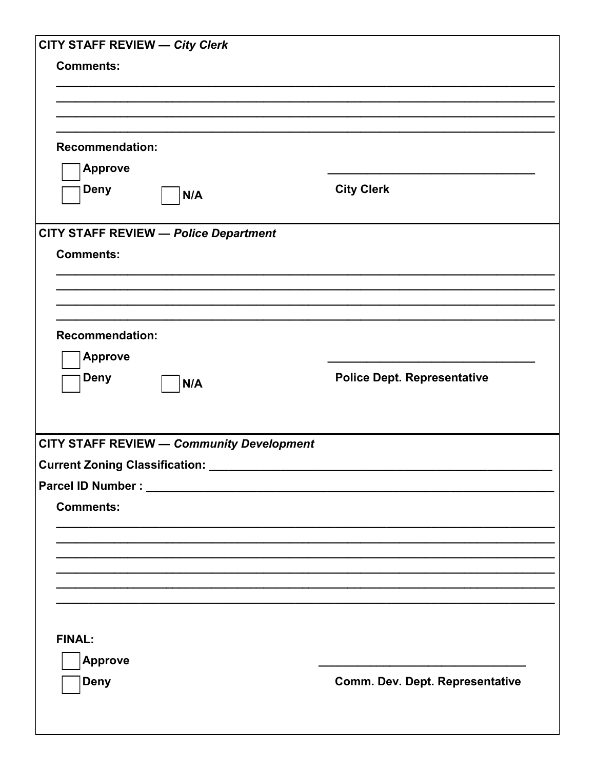| <b>CITY STAFF REVIEW - City Clerk</b>            |                                    |
|--------------------------------------------------|------------------------------------|
| <b>Comments:</b>                                 |                                    |
|                                                  |                                    |
|                                                  |                                    |
|                                                  |                                    |
| <b>Recommendation:</b>                           |                                    |
| <b>Approve</b>                                   |                                    |
| Deny<br>N/A                                      | <b>City Clerk</b>                  |
|                                                  |                                    |
| <b>CITY STAFF REVIEW - Police Department</b>     |                                    |
| <b>Comments:</b>                                 |                                    |
|                                                  |                                    |
|                                                  |                                    |
|                                                  |                                    |
| <b>Recommendation:</b>                           |                                    |
| <b>Approve</b>                                   |                                    |
| Deny<br>N/A                                      | <b>Police Dept. Representative</b> |
|                                                  |                                    |
|                                                  |                                    |
| <b>CITY STAFF REVIEW - Community Development</b> |                                    |
| <b>Current Zoning Classification:</b>            |                                    |
|                                                  |                                    |
| <b>Comments:</b>                                 |                                    |
|                                                  |                                    |
|                                                  |                                    |
|                                                  |                                    |
|                                                  |                                    |
|                                                  |                                    |
|                                                  |                                    |
| <b>FINAL:</b>                                    |                                    |
| <b>Approve</b>                                   |                                    |
| <b>Deny</b>                                      | Comm. Dev. Dept. Representative    |
|                                                  |                                    |
|                                                  |                                    |